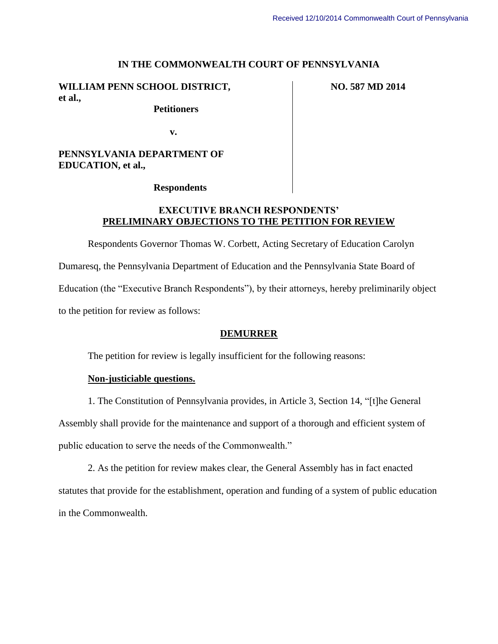#### **IN THE COMMONWEALTH COURT OF PENNSYLVANIA**

### **WILLIAM PENN SCHOOL DISTRICT, et al.,**

## **Petitioners**

**NO. 587 MD 2014**

**v.**

# **PENNSYLVANIA DEPARTMENT OF EDUCATION, et al.,**

#### **Respondents**

# **EXECUTIVE BRANCH RESPONDENTS' PRELIMINARY OBJECTIONS TO THE PETITION FOR REVIEW**

Respondents Governor Thomas W. Corbett, Acting Secretary of Education Carolyn Dumaresq, the Pennsylvania Department of Education and the Pennsylvania State Board of Education (the "Executive Branch Respondents"), by their attorneys, hereby preliminarily object to the petition for review as follows:

### **DEMURRER**

The petition for review is legally insufficient for the following reasons:

### **Non-justiciable questions.**

1. The Constitution of Pennsylvania provides, in Article 3, Section 14, "[t]he General Assembly shall provide for the maintenance and support of a thorough and efficient system of public education to serve the needs of the Commonwealth."

2. As the petition for review makes clear, the General Assembly has in fact enacted statutes that provide for the establishment, operation and funding of a system of public education in the Commonwealth.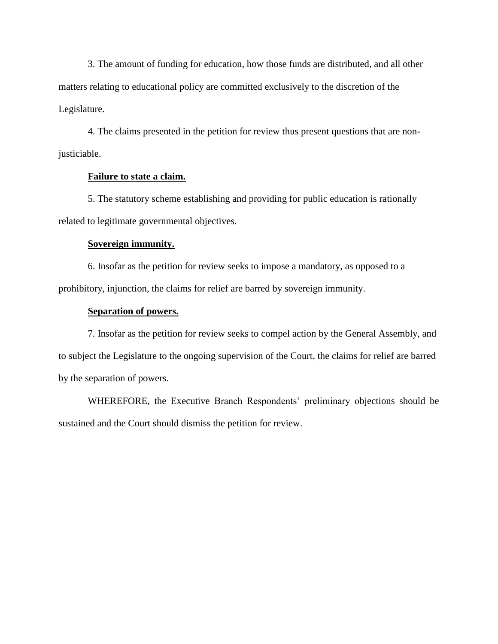3. The amount of funding for education, how those funds are distributed, and all other matters relating to educational policy are committed exclusively to the discretion of the Legislature.

4. The claims presented in the petition for review thus present questions that are nonjusticiable.

#### **Failure to state a claim.**

5. The statutory scheme establishing and providing for public education is rationally related to legitimate governmental objectives.

#### **Sovereign immunity.**

6. Insofar as the petition for review seeks to impose a mandatory, as opposed to a prohibitory, injunction, the claims for relief are barred by sovereign immunity.

#### **Separation of powers.**

7. Insofar as the petition for review seeks to compel action by the General Assembly, and to subject the Legislature to the ongoing supervision of the Court, the claims for relief are barred by the separation of powers.

WHEREFORE, the Executive Branch Respondents' preliminary objections should be sustained and the Court should dismiss the petition for review.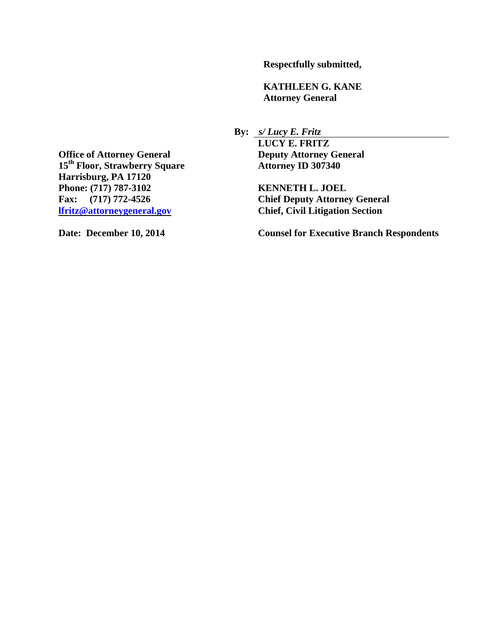**Respectfully submitted,**

**KATHLEEN G. KANE Attorney General**

**By:** *s/ Lucy E. Fritz*

**LUCY E. FRITZ**

**Chief Deputy Attorney General [lfritz@attorneygeneral.gov](mailto:lfritz@attorneygeneral.gov) Chief, Civil Litigation Section** 

**Date: December 10, 2014 Counsel for Executive Branch Respondents** 

**Office of Attorney General Deputy Attorney General**<br> **15<sup>th</sup> Floor, Strawberry Square Attorney ID 307340 15<sup>th</sup> Floor, Strawberry Square Harrisburg, PA 17120 Phone: (717) 787-3102 KENNETH L. JOEL**<br> **Fax:** (717) 772-4526 **Chief Deputy Attorne**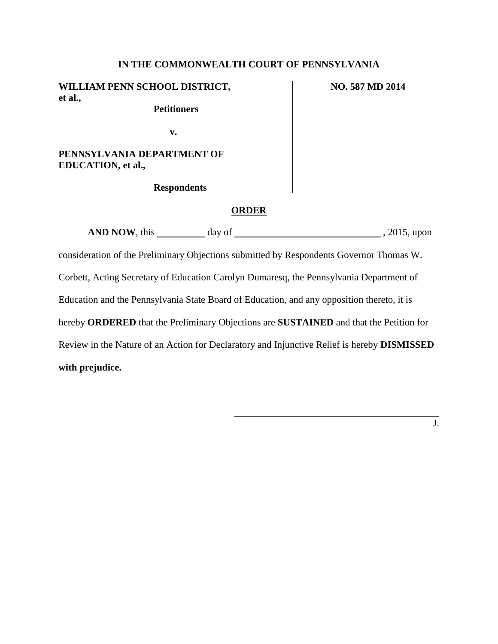### **IN THE COMMONWEALTH COURT OF PENNSYLVANIA**

**WILLIAM PENN SCHOOL DISTRICT, et al.,**

 **Petitioners**

**NO. 587 MD 2014**

**v.**

**PENNSYLVANIA DEPARTMENT OF EDUCATION, et al.,**

 **Respondents**

#### **ORDER**

**AND NOW**, this day of , 2015, upon

consideration of the Preliminary Objections submitted by Respondents Governor Thomas W. Corbett, Acting Secretary of Education Carolyn Dumaresq, the Pennsylvania Department of Education and the Pennsylvania State Board of Education, and any opposition thereto, it is hereby **ORDERED** that the Preliminary Objections are **SUSTAINED** and that the Petition for Review in the Nature of an Action for Declaratory and Injunctive Relief is hereby **DISMISSED with prejudice.**

J.